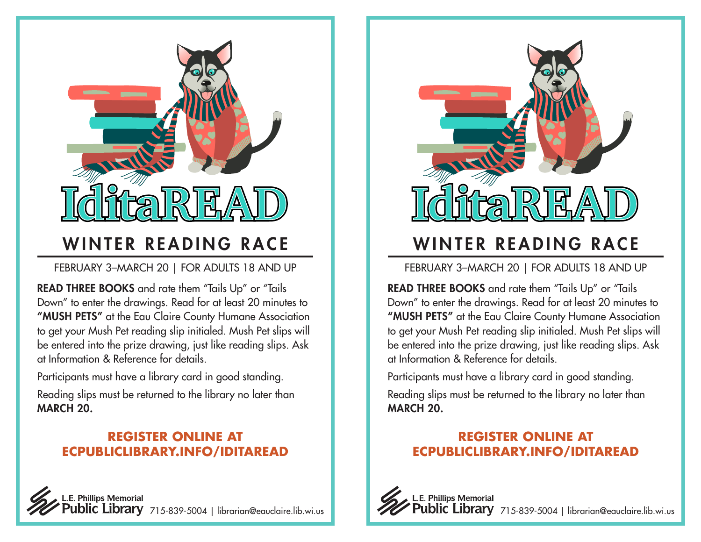

## WINTER READING RACE

FEBRUARY 3–MARCH 20 | FOR ADULTS 18 AND UP

READ THREE BOOKS and rate them "Tails Up" or "Tails Down" to enter the drawings. Read for at least 20 minutes to "MUSH PETS" at the Eau Claire County Humane Association to get your Mush Pet reading slip initialed. Mush Pet slips will be entered into the prize drawing, just like reading slips. Ask at Information & Reference for details.

Participants must have a library card in good standing.

Reading slips must be returned to the library no later than MARCH 20.

#### **REGISTER ONLINE AT ECPUBLICLIBRARY.INFO/IDITAREAD**





# WINTER READING RACE

FEBRUARY 3–MARCH 20 | FOR ADULTS 18 AND UP

READ THREE BOOKS and rate them "Tails Up" or "Tails Down" to enter the drawings. Read for at least 20 minutes to "MUSH PETS" at the Eau Claire County Humane Association to get your Mush Pet reading slip initialed. Mush Pet slips will be entered into the prize drawing, just like reading slips. Ask at Information & Reference for details.

Participants must have a library card in good standing.

Reading slips must be returned to the library no later than MARCH 20.

#### **REGISTER ONLINE AT ECPUBLICLIBRARY.INFO/IDITAREAD**



L.E. Phillips Memorial l**ic Library** 715-839-5004 | librarian@eauclaire.lib.wi.us